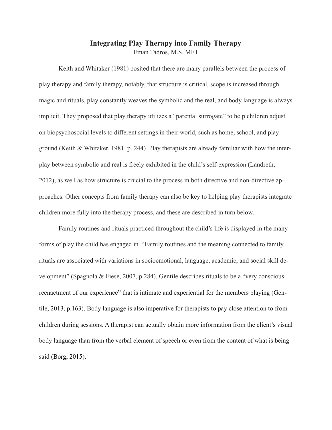## **Integrating Play Therapy into Family Therapy**  Eman Tadros, M.S. MFT

Keith and Whitaker (1981) posited that there are many parallels between the process of play therapy and family therapy, notably, that structure is critical, scope is increased through magic and rituals, play constantly weaves the symbolic and the real, and body language is always implicit. They proposed that play therapy utilizes a "parental surrogate" to help children adjust on biopsychosocial levels to different settings in their world, such as home, school, and playground (Keith & Whitaker, 1981, p. 244). Play therapists are already familiar with how the interplay between symbolic and real is freely exhibited in the child's self-expression (Landreth, 2012), as well as how structure is crucial to the process in both directive and non-directive approaches. Other concepts from family therapy can also be key to helping play therapists integrate children more fully into the therapy process, and these are described in turn below.

Family routines and rituals practiced throughout the child's life is displayed in the many forms of play the child has engaged in. "Family routines and the meaning connected to family rituals are associated with variations in socioemotional, language, academic, and social skill development" (Spagnola & Fiese, 2007, p.284). Gentile describes rituals to be a "very conscious reenactment of our experience" that is intimate and experiential for the members playing (Gentile, 2013, p.163). Body language is also imperative for therapists to pay close attention to from children during sessions. A therapist can actually obtain more information from the client's visual body language than from the verbal element of speech or even from the content of what is being said (Borg, 2015).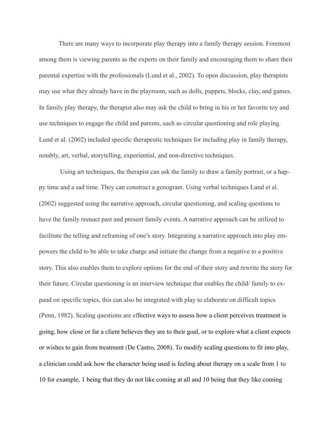There are many ways to incorporate play therapy into a family therapy session. Foremost among them is viewing parents as the experts on their family and encouraging them to share their parental expertise with the professionals (Lund et al., 2002). To open discussion, play therapists may use what they already have in the playroom, such as dolls, puppets, blocks, clay, and games. In family play therapy, the therapist also may ask the child to bring in his or her favorite toy and use techniques to engage the child and parents, such as circular questioning and role playing. Lund et al. (2002) included specific therapeutic techniques for including play in family therapy, notably, art, verbal, storytelling, experiential, and non-directive techniques.

 Using art techniques, the therapist can ask the family to draw a family portrait, or a happy time and a sad time. They can construct a genogram. Using verbal techniques Lund et al. (2002) suggested using the narrative approach, circular questioning, and scaling questions to have the family reenact past and present family events. A narrative approach can be utilized to facilitate the telling and reframing of one's story. Integrating a narrative approach into play empowers the child to be able to take charge and initiate the change from a negative to a positive story. This also enables them to explore options for the end of their story and rewrite the story for their future. Circular questioning is an interview technique that enables the child/ family to expand on specific topics, this can also be integrated with play to elaborate on difficult topics (Penn, 1982). Scaling questions are effective ways to assess how a client perceives treatment is going, how close or far a client believes they are to their goal, or to explore what a client expects or wishes to gain from treatment (De Castro, 2008). To modify scaling questions to fit into play, a clinician could ask how the character being used is feeling about therapy on a scale from 1 to 10 for example, 1 being that they do not like coming at all and 10 being that they like coming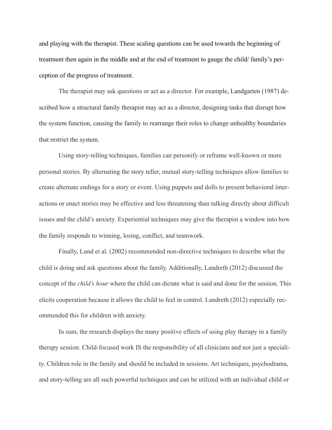and playing with the therapist. These scaling questions can be used towards the beginning of treatment then again in the middle and at the end of treatment to gauge the child/ family's perception of the progress of treatment.

The therapist may ask questions or act as a director. For example, Landgarten (1987) described how a structural family therapist may act as a director, designing tasks that disrupt how the system function, causing the family to rearrange their roles to change unhealthy boundaries that restrict the system.

Using story-telling techniques, families can personify or reframe well-known or more personal stories. By alternating the story teller, mutual story-telling techniques allow families to create alternate endings for a story or event. Using puppets and dolls to present behavioral interactions or enact stories may be effective and less threatening than talking directly about difficult issues and the child's anxiety. Experiential techniques may give the therapist a window into how the family responds to winning, losing, conflict, and teamwork.

Finally, Lund et al. (2002) recommended non-directive techniques to describe what the child is doing and ask questions about the family. Additionally, Landreth (2012) discussed the concept of the *child's hour* where the child can dictate what is said and done for the session. This elicits cooperation because it allows the child to feel in control. Landreth (2012) especially recommended this for children with anxiety.

In sum, the research displays the many positive effects of using play therapy in a family therapy session. Child-focused work IS the responsibility of all clinicians and not just a speciality. Children role in the family and should be included in sessions. Art techniques, psychodrama, and story-telling are all such powerful techniques and can be utilized with an individual child or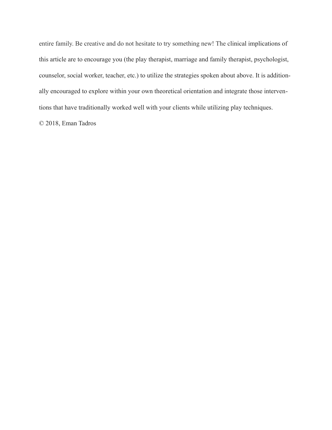entire family. Be creative and do not hesitate to try something new! The clinical implications of this article are to encourage you (the play therapist, marriage and family therapist, psychologist, counselor, social worker, teacher, etc.) to utilize the strategies spoken about above. It is additionally encouraged to explore within your own theoretical orientation and integrate those interventions that have traditionally worked well with your clients while utilizing play techniques.

© 2018, Eman Tadros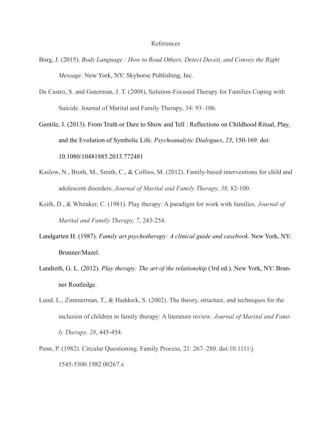## References

- Borg, J. (2015). *Body Language : How to Read Others, Detect Deceit, and Convey the Right Message*. New York, NY: Skyhorse Publishing, Inc.
- De Castro, S. and Guterman, J. T. (2008), Solution-Focused Therapy for Families Coping with Suicide. Journal of Marital and Family Therapy, 34: 93–106.
- Gentile, J. (2013). From Truth or Dare to Show and Tell : Reflections on Childhood Ritual, Play, and the Evolution of Symbolic Life. *Psychoanalytic Dialogues*, *23*, 150-169. doi: 10.1080/10481885.2013.772481
- Kaslow, N., Broth, M., Smith, C., & Collins, M. (2012). Family-based interventions for child and adolescent disorders. *Journal of Marital and Family Therapy, 38*, 82-100.
- Keith, D., & Whitaker, C. (1981). Play therapy: A paradigm for work with families. *Journal of Marital and Family Therapy, 7*, 243-254.
- Landgarten H. (1987). *Family art psychotherapy: A clinical guide and casebook*. New York, NY: Brunner/Mazel.
- Landreth, G. L. (2012). *Play therapy: The art of the relationship* (3rd ed.). New York, NY: Brunner Routledge.
- Lund, L., Zimmerman, T., & Haddock, S. (2002). The theory, structure, and techniques for the inclusion of children in family therapy: A literature review*. Journal of Marital and Family Therapy, 28*, 445-454.
- Penn, P. (1982). Circular Questioning. Family Process, 21: 267–280. doi:10.1111/j. 1545-5300.1982.00267.x